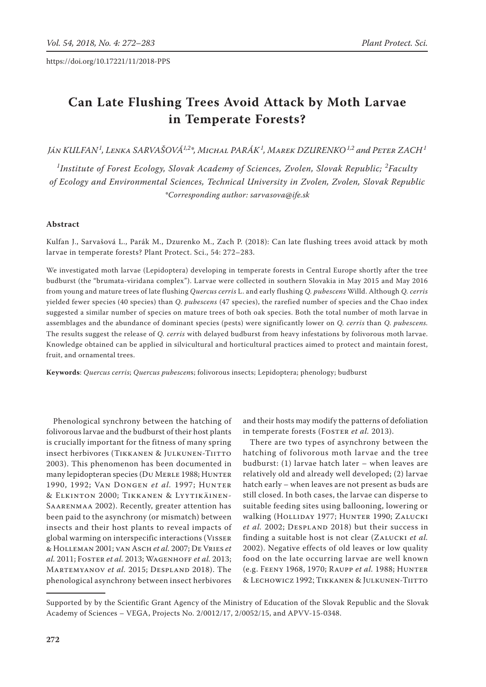# **Can Late Flushing Trees Avoid Attack by Moth Larvae in Temperate Forests?**

*Ján Kulfan <sup>1</sup> , Lenka Sarvašová1,2\*, Michal Parák 1 , Marek Dzurenko1,2 and Peter Zach<sup>1</sup>*

<sup>1</sup>Institute of Forest Ecology, Slovak Academy of Sciences, Zvolen, Slovak Republic; <sup>2</sup>Faculty *of Ecology and Environmental Sciences, Technical University in Zvolen, Zvolen, Slovak Republic \*Corresponding author: sarvasova@ife.sk*

# **Abstract**

Kulfan J., Sarvašová L., Parák M., Dzurenko M., Zach P. (2018): Can late flushing trees avoid attack by moth larvae in temperate forests? Plant Protect. Sci., 54: 272–283.

We investigated moth larvae (Lepidoptera) developing in temperate forests in Central Europe shortly after the tree budburst (the "brumata-viridana complex"). Larvae were collected in southern Slovakia in May 2015 and May 2016 from young and mature trees of late flushing *Quercus cerris* L. and early flushing *Q. pubescens* Willd. Although *Q. cerris* yielded fewer species (40 species) than *Q. pubescens* (47 species), the rarefied number of species and the Chao index suggested a similar number of species on mature trees of both oak species. Both the total number of moth larvae in assemblages and the abundance of dominant species (pests) were significantly lower on *Q. cerris* than *Q. pubescens.* The results suggest the release of *Q. cerris* with delayed budburst from heavy infestations by folivorous moth larvae. Knowledge obtained can be applied in silvicultural and horticultural practices aimed to protect and maintain forest, fruit, and ornamental trees.

**Keywords**: *Quercus cerris*; *Quercus pubescen*s; folivorous insects; Lepidoptera; phenology; budburst

Phenological synchrony between the hatching of folivorous larvae and the budburst of their host plants is crucially important for the fitness of many spring insect herbivores (Tikkanen & Julkunen-Tiitto 2003). This phenomenon has been documented in many lepidopteran species (Du MERLE 1988; HUNTER 1990, 1992; Van Dongen *et al.* 1997; Hunter & Elkinton 2000; Tikkanen & Lyytikäinen-Saarenmaa 2002). Recently, greater attention has been paid to the asynchrony (or mismatch) between insects and their host plants to reveal impacts of global warming on interspecific interactions (Visser & Holleman 2001; van Asch *et al.* 2007; De Vries *et al.* 2011; Foster *et al.* 2013; Wagenhoff *et al.* 2013; Martemyanov *et al.* 2015; Despland 2018). The phenological asynchrony between insect herbivores

and their hosts may modify the patterns of defoliation in temperate forests (FOSTER et al. 2013).

There are two types of asynchrony between the hatching of folivorous moth larvae and the tree budburst: (1) larvae hatch later – when leaves are relatively old and already well developed; (2) larvae hatch early – when leaves are not present as buds are still closed. In both cases, the larvae can disperse to suitable feeding sites using ballooning, lowering or walking (HOLLIDAY 1977; HUNTER 1990; ZALUCKI et al. 2002; DESPLAND 2018) but their success in finding a suitable host is not clear (Zalucki *et al.* 2002). Negative effects of old leaves or low quality food on the late occurring larvae are well known (e.g. Feeny 1968, 1970; Raupp *et al.* 1988; Hunter & Lechowicz 1992; Tikkanen & Julkunen-Tiitto

Supported by by the Scientific Grant Agency of the Ministry of Education of the Slovak Republic and the Slovak Academy of Sciences – VEGA, Projects No. 2/0012/17, 2/0052/15, and APVV-15-0348.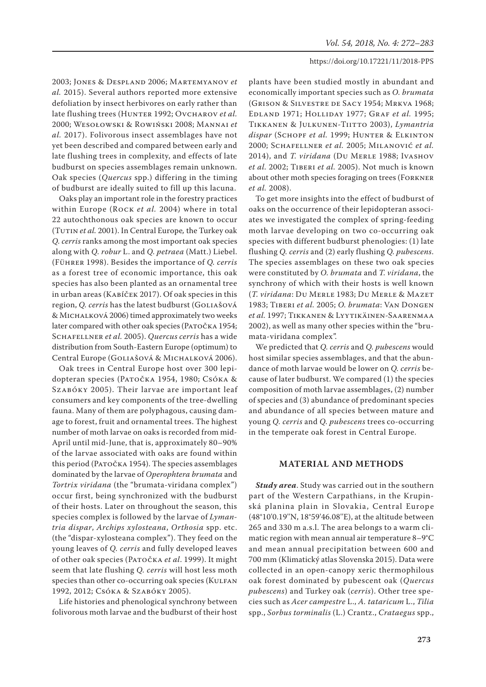2003; Jones & Despland 2006; Martemyanov *et al.* 2015). Several authors reported more extensive defoliation by insect herbivores on early rather than late flushing trees (HUNTER 1992; OVCHAROV *et al.* 2000; Wesołowski & Rowiński 2008; Mannai *et al.* 2017). Folivorous insect assemblages have not yet been described and compared between early and late flushing trees in complexity, and effects of late budburst on species assemblages remain unknown. Oak species (*Quercus* spp.) differing in the timing of budburst are ideally suited to fill up this lacuna.

Oaks play an important role in the forestry practices within Europe (Rock *et al.* 2004) where in total 22 autochthonous oak species are known to occur (TUTIN *et al.* 2001). In Central Europe, the Turkey oak *Q. cerris* ranks among the most important oak species along with *Q. robur* L. and *Q. petraea* (Matt.) Liebel. (Führer 1998). Besides the importance of *Q. cerris*  as a forest tree of economic importance, this oak species has also been planted as an ornamental tree in urban areas (Kabíček 2017). Of oak species in this region, *Q. cerris* has the latest budburst (GOLIAŠOVÁ & Michalková 2006) timed approximately two weeks later compared with other oak species (PATOČKA 1954; Schafellner *et al.* 2005). *Quercus cerris* has a wide distribution from South-Eastern Europe (optimum) to Central Europe (Goliašová & Michalková 2006).

Oak trees in Central Europe host over 300 lepidopteran species (Patočka 1954, 1980; Csóka & SZABÓKY 2005). Their larvae are important leaf consumers and key components of the tree-dwelling fauna. Many of them are polyphagous, causing damage to forest, fruit and ornamental trees. The highest number of moth larvae on oaks is recorded from mid-April until mid-June, that is, approximately 80–90% of the larvae associated with oaks are found within this period (Ратоčка 1954). The species assemblages dominated by the larvae of *Operophtera brumata* and *Tortrix viridana* (the "brumata-viridana complex") occur first, being synchronized with the budburst of their hosts. Later on throughout the season, this species complex is followed by the larvae of *Lymantria dispar*, *Archips xylosteana*, *Orthosia* spp. etc. (the "dispar-xylosteana complex"). They feed on the young leaves of *Q. cerris* and fully developed leaves of other oak species (Patočka *et al*. 1999). It might seem that late flushing *Q. cerris* will host less moth species than other co-occurring oak species (KULFAN 1992, 2012; Csóka & Szabóky 2005).

Life histories and phenological synchrony between folivorous moth larvae and the budburst of their host

plants have been studied mostly in abundant and economically important species such as *O. brumata*  (Grison & Silvestre de Sacy 1954; Mrkva 1968; Edland 1971; Holliday 1977; Graf *et al.* 1995; Tikkanen & Julkunen-Tiitto 2003), *Lymantria*  dispar (SCHOPF et al. 1999; HUNTER & ELKINTON 2000; Schafellner *et al.* 2005; Milanović *et al.* 2014), and *T. viridana* (Du Merle 1988; Ivashov *et al.* 2002; Tiberi *et al.* 2005). Not much is known about other moth species foraging on trees (Forkner *et al.* 2008).

To get more insights into the effect of budburst of oaks on the occurrence of their lepidopteran associates we investigated the complex of spring-feeding moth larvae developing on two co-occurring oak species with different budburst phenologies: (1) late flushing *Q. cerris* and (2) early flushing *Q. pubescens*. The species assemblages on these two oak species were constituted by *O. brumata* and *T. viridana*, the synchrony of which with their hosts is well known (*T. viridana*: Du Merle 1983; Du Merle & Mazet 1983; Tiberi *et al.* 2005; *O. brumata*: Van Dongen *et al.* 1997; Tikkanen & Lyytikäinen-Saarenmaa 2002), as well as many other species within the "brumata-viridana complex".

We predicted that *Q. cerris* and *Q. pubescens* would host similar species assemblages, and that the abundance of moth larvae would be lower on *Q. cerris* because of later budburst. We compared (1) the species composition of moth larvae assemblages, (2) number of species and (3) abundance of predominant species and abundance of all species between mature and young *Q. cerris* and *Q. pubescens* trees co-occurring in the temperate oak forest in Central Europe.

# **Material and Methods**

*Study area*. Study was carried out in the southern part of the Western Carpathians, in the Krupinská planina plain in Slovakia, Central Europe (48°10'0.19''N, 18°59'46.08''E), at the altitude between 265 and 330 m a.s.l. The area belongs to a warm climatic region with mean annual air temperature 8–9°C and mean annual precipitation between 600 and 700 mm (Klimatický atlas Slovenska 2015). Data were collected in an open-canopy xeric thermophilous oak forest dominated by pubescent oak (*Quercus pubescens*) and Turkey oak (*cerris*). Other tree species such as *Acer campestre* L., *A. tataricum* L., *Tilia* spp., *Sorbus torminalis* (L.) Crantz., *Crataegus* spp.,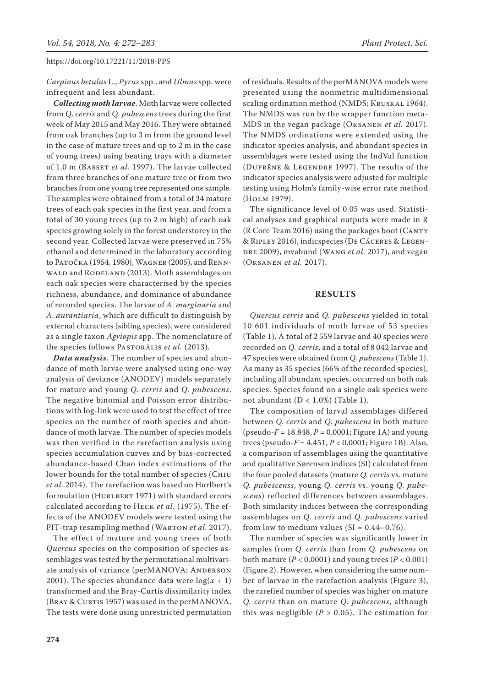*Carpinus betulus* L., *Pyrus* spp., and *Ulmus* spp. were infrequent and less abundant.

*Collecting moth larvae*. Moth larvae were collected from *Q*. *cerris* and *Q*. *pubescens* trees during the first week of May 2015 and May 2016. They were obtained from oak branches (up to 3 m from the ground level in the case of mature trees and up to 2 m in the case of young trees) using beating trays with a diameter of 1.0 m (Basset *et al.* 1997). The larvae collected from three branches of one mature tree or from two branches from one young tree represented one sample. The samples were obtained from a total of 34 mature trees of each oak species in the first year, and from a total of 30 young trees (up to 2 m high) of each oak species growing solely in the forest understorey in the second year. Collected larvae were preserved in 75% ethanol and determined in the laboratory according to Patočka (1954, 1980), Wagner (2005), and Rennwald and Rodeland (2013). Moth assemblages on each oak species were characterised by the species richness, abundance, and dominance of abundance of recorded species. The larvae of *A*. *marginaria* and *A*. *aurantiaria*, which are difficult to distinguish by external characters (sibling species), were considered as a single taxon *Agriopis* spp. The nomenclature of the species follows Pastorális *et al.* (2013).

*Data analysis*. The number of species and abundance of moth larvae were analysed using one-way analysis of deviance (ANODEV) models separately for mature and young *Q. cerris* and *Q. pubescens*. The negative binomial and Poisson error distributions with log-link were used to test the effect of tree species on the number of moth species and abundance of moth larvae. The number of species models was then verified in the rarefaction analysis using species accumulation curves and by bias-corrected abundance-based Chao index estimations of the lower bounds for the total number of species (Chiu *et al.* 2014). The rarefaction was based on Hurlbert's formulation (HURLBERT 1971) with standard errors calculated according to Heck *et al.* (1975). The effects of the ANODEV models were tested using the PIT-trap resampling method (WARTON et al. 2017).

The effect of mature and young trees of both *Quercus* species on the composition of species assemblages was tested by the permutational multivariate analysis of variance (perMANOVA; ANDERSON 2001). The species abundance data were  $log(x + 1)$ transformed and the Bray-Curtis dissimilarity index (BRAY & CURTIS 1957) was used in the perMANOVA. The tests were done using unrestricted permutation

**274**

of residuals. Results of the perMANOVA models were presented using the nonmetric multidimensional scaling ordination method (NMDS; KRUSKAL 1964). The NMDS was run by the wrapper function meta-MDS in the vegan package (Oksanen *et al.* 2017). The NMDS ordinations were extended using the indicator species analysis, and abundant species in assemblages were tested using the IndVal function (Dufrêne & Legendre 1997). The results of the indicator species analysis were adjusted for multiple testing using Holm's family-wise error rate method (Holm 1979).

The significance level of 0.05 was used. Statistical analyses and graphical outputs were made in R (R Core Team 2016) using the packages boot (CANTY & Ripley 2016), indicspecies (De Cáceres & Legen-DRE 2009), mvabund (WANG et al. 2017), and vegan (Oksanen *et al.* 2017).

# **Results**

*Quercus cerris* and *Q. pubescens* yielded in total 10 601 individuals of moth larvae of 53 species (Table 1). A total of 2 559 larvae and 40 species were recorded on *Q. cerris*, and a total of 8 042 larvae and 47 species were obtained from *Q. pubescens* (Table 1). As many as 35 species (66% of the recorded species), including all abundant species, occurred on both oak species. Species found on a single oak species were not abundant  $(D < 1.0\%)$  (Table 1).

The composition of larval assemblages differed between *Q. cerris* and *Q. pubescens* in both mature (pseudo-*F* = 18.848, *P* = 0.0001; Figure 1A) and young trees (pseudo-*F* = 4.451, *P* < 0.0001; Figure 1B). Also, a comparison of assemblages using the quantitative and qualitative Sørensen indices (SI) calculated from the four pooled datasets (mature *Q. cerris* vs*.* mature *Q. pubescenss*, young *Q. cerris* vs. young *Q. pubescens*) reflected differences between assemblages. Both similarity indices between the corresponding assemblages on *Q. cerris* and *Q. pubescens* varied from low to medium values  $(SI = 0.44 - 0.76)$ .

The number of species was significantly lower in samples from *Q. cerris* than from *Q. pubescens* on both mature ( $P < 0.0001$ ) and young trees ( $P < 0.001$ ) (Figure 2). However, when considering the same number of larvae in the rarefaction analysis (Figure 3), the rarefied number of species was higher on mature *Q. cerris* than on mature *Q. pubescens*, although this was negligible  $(P > 0.05)$ . The estimation for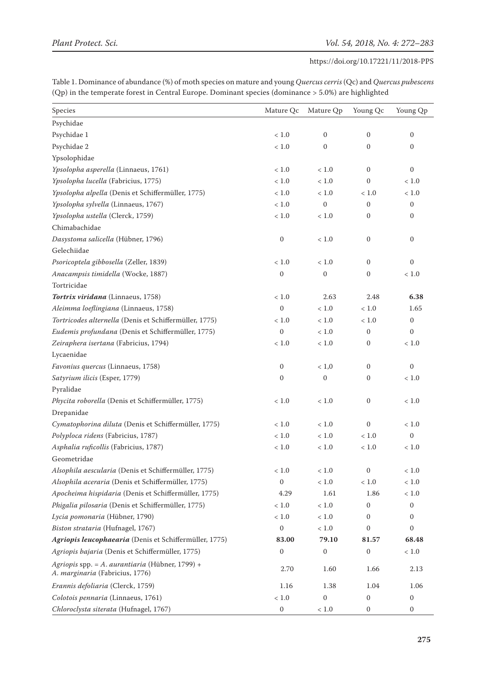Table 1. Dominance of abundance (%) of moth species on mature and young *Quercus cerris* (Qc) and *Quercus pubescens* (Qp) in the temperate forest in Central Europe. Dominant species (dominance > 5.0%) are highlighted

| Species                                                                                   | Mature Qc        | Mature Qp        | Young Qc         | Young Qp         |
|-------------------------------------------------------------------------------------------|------------------|------------------|------------------|------------------|
| Psychidae                                                                                 |                  |                  |                  |                  |
| Psychidae 1                                                                               | $<1.0\,$         | $\mathbf{0}$     | $\boldsymbol{0}$ | $\mathbf{0}$     |
| Psychidae 2                                                                               | $<1.0\,$         | $\boldsymbol{0}$ | 0                | $\mathbf{0}$     |
| Ypsolophidae                                                                              |                  |                  |                  |                  |
| Ypsolopha asperella (Linnaeus, 1761)                                                      | $<1.0\,$         | < 1.0            | $\mathbf{0}$     | $\boldsymbol{0}$ |
| Ypsolopha lucella (Fabricius, 1775)                                                       | < 1.0            | $<1.0\,$         | $\boldsymbol{0}$ | $<1.0$           |
| Ypsolopha alpella (Denis et Schiffermüller, 1775)                                         | $<1.0$           | < 1.0            | < 1.0            | $<1.0$           |
| Ypsolopha sylvella (Linnaeus, 1767)                                                       | $<1.0\,$         | $\mathbf{0}$     | $\boldsymbol{0}$ | $\mathbf{0}$     |
| Ypsolopha ustella (Clerck, 1759)                                                          | $<1.0\,$         | $<1.0\,$         | 0                | $\mathbf{0}$     |
| Chimabachidae                                                                             |                  |                  |                  |                  |
| Dasystoma salicella (Hübner, 1796)                                                        | $\boldsymbol{0}$ | $<1.0\,$         | $\boldsymbol{0}$ | $\boldsymbol{0}$ |
| Gelechiidae                                                                               |                  |                  |                  |                  |
| Psoricoptela gibbosella (Zeller, 1839)                                                    | < 1.0            | < 1.0            | $\mathbf{0}$     | $\boldsymbol{0}$ |
| Anacampsis timidella (Wocke, 1887)                                                        | $\boldsymbol{0}$ | $\boldsymbol{0}$ | $\boldsymbol{0}$ | < 1.0            |
| Tortricidae                                                                               |                  |                  |                  |                  |
| Tortrix viridana (Linnaeus, 1758)                                                         | $<1.0\,$         | 2.63             | 2.48             | 6.38             |
| Aleimma loeflingiana (Linnaeus, 1758)                                                     | $\mathbf{0}$     | $<1.0\,$         | $<1.0\,$         | 1.65             |
| Tortricodes alternella (Denis et Schiffermüller, 1775)                                    | $<1.0$           | < 1.0            | $<1.0$           | $\mathbf{0}$     |
| Eudemis profundana (Denis et Schiffermüller, 1775)                                        | $\boldsymbol{0}$ | $<1.0\,$         | $\boldsymbol{0}$ | $\mathbf{0}$     |
| Zeiraphera isertana (Fabricius, 1794)                                                     | $<1.0$           | $<1.0\,$         | $\mathbf{0}$     | $<1.0$           |
| Lycaenidae                                                                                |                  |                  |                  |                  |
| Favonius quercus (Linnaeus, 1758)                                                         | 0                | $<1,\!0$         | $\mathbf{0}$     | $\mathbf{0}$     |
| Satyrium ilicis (Esper, 1779)                                                             | $\mathbf{0}$     | $\boldsymbol{0}$ | $\mathbf{0}$     | $<1.0\,$         |
| Pyralidae                                                                                 |                  |                  |                  |                  |
| Phycita roborella (Denis et Schiffermüller, 1775)                                         | $<1.0\,$         | $<1.0\,$         | $\boldsymbol{0}$ | $<1.0\,$         |
| Drepanidae                                                                                |                  |                  |                  |                  |
| Cymatophorina diluta (Denis et Schiffermüller, 1775)                                      | $<1.0\,$         | $<1.0\,$         | $\mathbf{0}$     | $<1.0\,$         |
| Polyploca ridens (Fabricius, 1787)                                                        | $<1.0$           | $<1.0$           | $<1.0\,$         | $\boldsymbol{0}$ |
| Asphalia ruficollis (Fabricius, 1787)                                                     | $<1.0\,$         | $<1.0\,$         | $<1.0\,$         | $<1.0\,$         |
| Geometridae                                                                               |                  |                  |                  |                  |
| Alsophila aescularia (Denis et Schiffermüller, 1775)                                      | < 1.0            | $<1.0$           | $\boldsymbol{0}$ | < 1.0            |
| Alsophila aceraria (Denis et Schiffermüller, 1775)                                        | $\boldsymbol{0}$ | $<1.0\,$         | $<1.0\,$         | $<1.0\,$         |
| Apocheima hispidaria (Denis et Schiffermüller, 1775)                                      | 4.29             | 1.61             | 1.86             | < 1.0            |
| Phigalia pilosaria (Denis et Schiffermüller, 1775)                                        | < 1.0            | $<1.0\,$         | 0                | 0                |
| Lycia pomonaria (Hübner, 1790)                                                            | < 1.0            | $<1.0$           | $\boldsymbol{0}$ | 0                |
| Biston strataria (Hufnagel, 1767)                                                         | $\boldsymbol{0}$ | $<1.0\,$         | $\boldsymbol{0}$ | $\boldsymbol{0}$ |
| Agriopis leucophaearia (Denis et Schiffermüller, 1775)                                    | 83.00            | 79.10            | 81.57            | 68.48            |
| Agriopis bajaria (Denis et Schiffermüller, 1775)                                          | $\boldsymbol{0}$ | $\mathbf{0}$     | $\boldsymbol{0}$ | $<1.0$           |
| Agriopis spp. = A. aurantiaria (Hübner, 1799) +<br>A. <i>marginaria</i> (Fabricius, 1776) | 2.70             | 1.60             | 1.66             | 2.13             |
| Erannis defoliaria (Clerck, 1759)                                                         | 1.16             | 1.38             | 1.04             | 1.06             |
| Colotois pennaria (Linnaeus, 1761)                                                        | $<1.0\,$         | $\boldsymbol{0}$ | 0                | $\boldsymbol{0}$ |
| Chloroclysta siterata (Hufnagel, 1767)                                                    | $\boldsymbol{0}$ | $<1.0\,$         | 0                | 0                |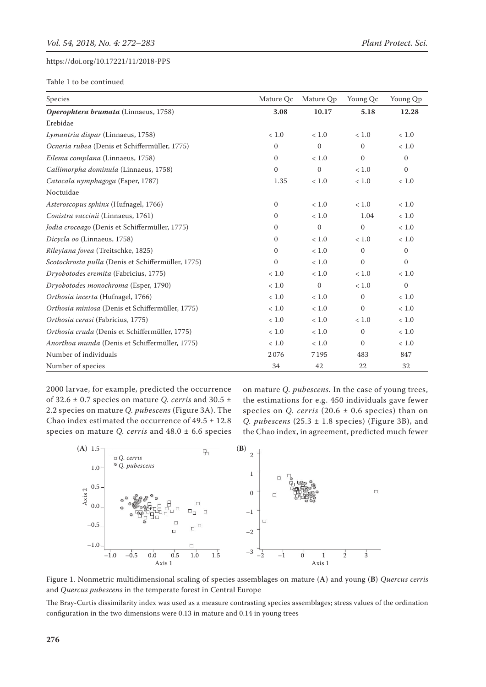Table 1 to be continued

| Species                                            | Mature Qc    | Mature Qp    | Young Qc         | Young Qp     |
|----------------------------------------------------|--------------|--------------|------------------|--------------|
| Operophtera brumata (Linnaeus, 1758)               | 3.08         | 10.17        | 5.18             | 12.28        |
| Erebidae                                           |              |              |                  |              |
| Lymantria dispar (Linnaeus, 1758)                  | < 1.0        | < 1.0        | < 1.0            | < 1.0        |
| Ocneria rubea (Denis et Schiffermüller, 1775)      | $\mathbf{0}$ | $\mathbf{0}$ | $\mathbf{0}$     | < 1.0        |
| Eilema complana (Linnaeus, 1758)                   | $\mathbf{0}$ | < 1.0        | $\mathbf{0}$     | $\Omega$     |
| Callimorpha dominula (Linnaeus, 1758)              | $\mathbf{0}$ | $\mathbf{0}$ | < 1.0            | $\mathbf{0}$ |
| Catocala nymphagoga (Esper, 1787)                  | 1.35         | < 1.0        | $<1.0\,$         | $<1.0$       |
| Noctuidae                                          |              |              |                  |              |
| Asteroscopus sphinx (Hufnagel, 1766)               | $\mathbf{0}$ | < 1.0        | < 1.0            | < 1.0        |
| Conistra vaccinii (Linnaeus, 1761)                 | $\mathbf{0}$ | $<1.0$       | 1.04             | $<1.0$       |
| Jodia croceago (Denis et Schiffermüller, 1775)     | $\mathbf{0}$ | $\mathbf{0}$ | $\mathbf{0}$     | < 1.0        |
| Dicycla oo (Linnaeus, 1758)                        | $\mathbf{0}$ | < 1.0        | $<1.0$           | $<1.0$       |
| Rileyiana fovea (Treitschke, 1825)                 | $\mathbf{0}$ | < 1.0        | $\mathbf{0}$     | $\mathbf{0}$ |
| Scotochrosta pulla (Denis et Schiffermüller, 1775) | $\mathbf{0}$ | < 1.0        | $\Omega$         | $\mathbf{0}$ |
| Dryobotodes eremita (Fabricius, 1775)              | $<1.0$       | $<1.0$       | $<1.0\,$         | $<1.0$       |
| Dryobotodes monochroma (Esper, 1790)               | $<1.0$       | $\mathbf{0}$ | < 1.0            | $\mathbf{0}$ |
| Orthosia incerta (Hufnagel, 1766)                  | $<1.0$       | $<1.0$       | $\mathbf{0}$     | $<1.0$       |
| Orthosia miniosa (Denis et Schiffermüller, 1775)   | $<1.0$       | $<1.0$       | $\mathbf{0}$     | $<1.0$       |
| Orthosia cerasi (Fabricius, 1775)                  | < 1.0        | $<1.0$       | < 1.0            | $<1.0$       |
| Orthosia cruda (Denis et Schiffermüller, 1775)     | $<1.0\,$     | $<1.0\,$     | $\boldsymbol{0}$ | $<1.0\,$     |
| Anorthoa munda (Denis et Schiffermüller, 1775)     | $<1.0$       | $<1.0$       | $\Omega$         | $<1.0$       |
| Number of individuals                              | 2076         | 7195         | 483              | 847          |
| Number of species                                  | 34           | 42           | 22               | 32           |

2000 larvae, for example, predicted the occurrence of 32.6 ± 0.7 species on mature *Q. cerris* and 30.5 ± 2.2 species on mature *Q. pubescens* (Figure 3A). The Chao index estimated the occurrence of  $49.5 \pm 12.8$ species on mature *Q. cerris* and 48.0 ± 6.6 species on mature *Q. pubescens.* In the case of young trees, the estimations for e.g. 450 individuals gave fewer species on *Q. cerris* (20.6 ± 0.6 species) than on *Q. pubescens* (25.3 ± 1.8 species) (Figure 3B), and the Chao index, in agreement, predicted much fewer



Figure 1. Nonmetric multidimensional scaling of species assemblages on mature (**A**) and young (**B**) *Quercus cerris* and *Quercus pubescens* in the temperate forest in Central Europe

The Bray-Curtis dissimilarity index was used as a measure contrasting species assemblages; stress values of the ordination configuration in the two dimensions were 0.13 in mature and 0.14 in young trees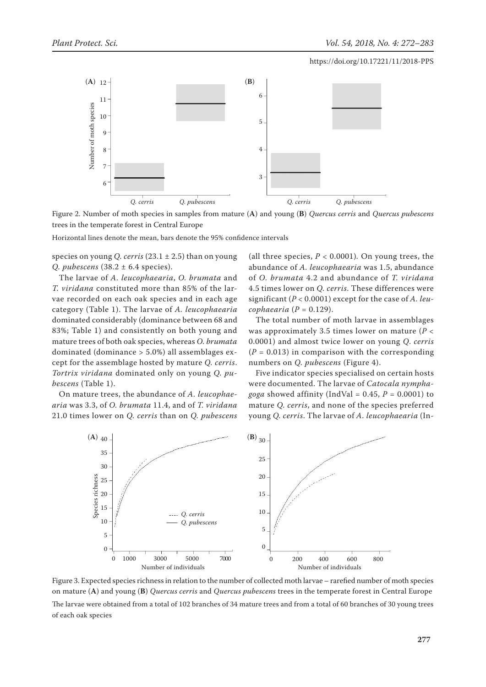

Figure 2. Number of moth species in samples from mature (**A**) and young (**B**) *Quercus cerris* and *Quercus pubescens*  trees in the temperate forest in Central Europe

Horizontal lines denote the mean, bars denote the 95% confidence intervals

species on young *Q. cerris* (23.1 ± 2.5) than on young *Q. pubescens* (38.2 ± 6.4 species).

The larvae of *A. leucophaearia*, *O. brumata* and *T. viridana* constituted more than 85% of the larvae recorded on each oak species and in each age category (Table 1). The larvae of *A. leucophaearia* dominated considerably (dominance between 68 and 83%; Table 1) and consistently on both young and mature trees of both oak species, whereas *O. brumata* dominated (dominance > 5.0%) all assemblages except for the assemblage hosted by mature *Q. cerris*. *Tortrix viridana* dominated only on young *Q. pubescens* (Table 1). of each outline is a species on young<br>
Figure 2. Number<br>
Figure 2. Number<br>
trees in the temper<br>
Horizontal lines de<br>
species on young<br>
Q. *pubescens* (38<br>
The larvae of .<br>
T. *viridana* cons<br>
vae recorded on<br>
category (Tab

On mature trees, the abundance of *A. leucophaearia* was 3.3, of *O. brumata* 11.4, and of *T. viridana* 21.0 times lower on *Q. cerris* than on *Q. pubescens* 

(all three species,  $P < 0.0001$ ). On young trees, the abundance of *A. leucophaearia* was 1.5, abundance of *O. brumata* 4.2 and abundance of *T. viridana* 4.5 times lower on *Q. cerris*. These differences were significant (*P* < 0.0001) except for the case of *A. leucophaearia*  $(P = 0.129)$ .

The total number of moth larvae in assemblages was approximately 3.5 times lower on mature (*P* < 0.0001) and almost twice lower on young *Q*. *cerris*  $(P = 0.013)$  in comparison with the corresponding numbers on *Q. pubescens* (Figure 4).

Five indicator species specialised on certain hosts were documented. The larvae of *Catocala nymphagoga* showed affinity (IndVal =  $0.45$ ,  $P = 0.0001$ ) to mature *Q. cerris*, and none of the species preferred young *Q. cerris*. The larvae of *A. leucophaearia* (In-



Figure 3. Expected species richness in relation to the number of collected moth larvae – rarefied number of moth species on mature (**A**) and young (**B**) *Quercus cerris* and *Quercus pubescens* trees in the temperate forest in Central Europe The larvae were obtained from a total of 102 branches of 34 mature trees and from a total of 60 branches of 30 young trees of each oak species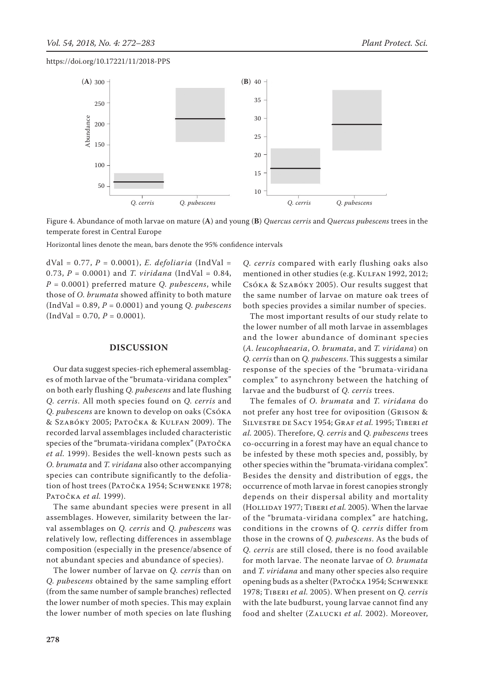

Figure 4. Abundance of moth larvae on mature (**A**) and young (**B**) *Quercus cerris* and *Quercus pubescens* trees in the temperate forest in Central Europe

dVal = 0.77, *P* = 0.0001), *E. defoliaria* (IndVal = 0.73,  $P = 0.0001$ ) and *T. viridana* (IndVal = 0.84, *P* = 0.0001) preferred mature *Q. pubescens*, while those of *O. brumata* showed affinity to both mature (IndVal = 0.89, *P* = 0.0001) and young *Q. pubescens*  $(IndVal = 0.70, P = 0.0001).$ 

# **Discussion**

Our data suggest species-rich ephemeral assemblages of moth larvae of the "brumata-viridana complex" on both early flushing *Q. pubescens* and late flushing *Q. cerris*. All moth species found on *Q. cerris* and *Q. pubescens* are known to develop on oaks (Csóka & Szabóky 2005; Patočka & Kulfan 2009). The recorded larval assemblages included characteristic species of the "brumata-viridana complex" (PATOČKA *et al.* 1999). Besides the well-known pests such as *O. brumata* and *T. viridana* also other accompanying species can contribute significantly to the defoliation of host trees (PATOČKA 1954; SCHWENKE 1978; Patočka *et al.* 1999).

The same abundant species were present in all assemblages. However, similarity between the larval assemblages on *Q. cerris* and *Q. pubescens* was relatively low, reflecting differences in assemblage composition (especially in the presence/absence of not abundant species and abundance of species).

The lower number of larvae on *Q. cerris* than on *Q. pubescens* obtained by the same sampling effort (from the same number of sample branches) reflected the lower number of moth species. This may explain the lower number of moth species on late flushing

*Q. cerris* compared with early flushing oaks also mentioned in other studies (e.g. KULFAN 1992, 2012; Csóka & Szabóky 2005). Our results suggest that the same number of larvae on mature oak trees of both species provides a similar number of species.

The most important results of our study relate to the lower number of all moth larvae in assemblages and the lower abundance of dominant species (*A. leucophaearia*, *O. brumata*, and *T. viridana*) on *Q. cerris* than on *Q. pubescens*. This suggests a similar response of the species of the "brumata-viridana complex" to asynchrony between the hatching of larvae and the budburst of *Q. cerris* trees.

The females of *O. brumata* and *T. viridana* do not prefer any host tree for oviposition (Grison & Silvestre de Sacy 1954; Graf *et al.* 1995; Tiberi *et al.* 2005). Therefore, *Q. cerris* and *Q. pubescens* trees co-occurring in a forest may have an equal chance to be infested by these moth species and, possibly, by other species within the "brumata-viridana complex". Besides the density and distribution of eggs, the occurrence of moth larvae in forest canopies strongly depends on their dispersal ability and mortality (HOLLIDAY 1977; TIBERI *et al.* 2005). When the larvae of the "brumata-viridana complex" are hatching, conditions in the crowns of *Q. cerris* differ from those in the crowns of *Q. pubescens*. As the buds of *Q. cerris* are still closed, there is no food available for moth larvae. The neonate larvae of *O. brumata* and *T. viridana* and many other species also require opening buds as a shelter (Patočka 1954; Schwenke 1978; Tiberi *et al.* 2005). When present on *Q. cerris* with the late budburst, young larvae cannot find any food and shelter (Zalucki *et al.* 2002). Moreover,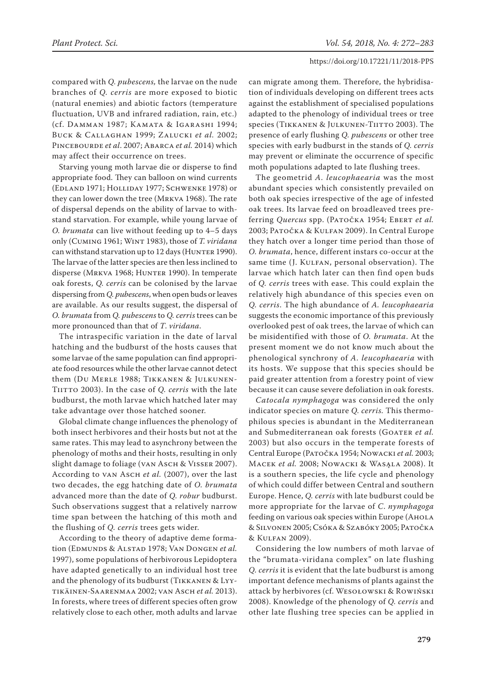compared with *Q. pubescens,* the larvae on the nude branches of *Q. cerris* are more exposed to biotic (natural enemies) and abiotic factors (temperature fluctuation, UVB and infrared radiation, rain, etc.) (cf. Damman 1987; Kamata & Igarashi 1994; Buck & Callaghan 1999; Zalucki *et al.* 2002; PINCEBOURDE *et al.* 2007; ABARCA *et al.* 2014) which may affect their occurrence on trees.

Starving young moth larvae die or disperse to find appropriate food. They can balloon on wind currents (Edland 1971; Holliday 1977; Schwenke 1978) or they can lower down the tree (Mrkva 1968). The rate of dispersal depends on the ability of larvae to withstand starvation. For example, while young larvae of *O. brumata* can live without feeding up to 4–5 days only (Cuming 1961; Wint 1983), those of *T. viridana* can withstand starvation up to 12 days (HUNTER 1990). The larvae of the latter species are then less inclined to disperse (MRKVA 1968; HUNTER 1990). In temperate oak forests, *Q. cerris* can be colonised by the larvae dispersing from *Q. pubescens*, when open buds or leaves are available. As our results suggest, the dispersal of *O. brumata* from *Q. pubescens* to *Q. cerris* trees can be more pronounced than that of *T*. *viridana*.

The intraspecific variation in the date of larval hatching and the budburst of the hosts causes that some larvae of the same population can find appropriate food resources while the other larvae cannot detect them (Du Merle 1988; Tikkanen & Julkunen-TIITTO 2003). In the case of *Q. cerris* with the late budburst, the moth larvae which hatched later may take advantage over those hatched sooner.

Global climate change influences the phenology of both insect herbivores and their hosts but not at the same rates. This may lead to asynchrony between the phenology of moths and their hosts, resulting in only slight damage to foliage (VAN ASCH & VISSER 2007). According to van Asch et al. (2007), over the last two decades, the egg hatching date of *O. brumata* advanced more than the date of *Q. robur* budburst. Such observations suggest that a relatively narrow time span between the hatching of this moth and the flushing of *Q. cerris* trees gets wider.

According to the theory of adaptive deme formation (EDMUNDS & ALSTAD 1978; VAN DONGEN *et al.* 1997), some populations of herbivorous Lepidoptera have adapted genetically to an individual host tree and the phenology of its budburst (Tikkanen & Lyytikäinen-Saarenmaa 2002; van Asch *et al.* 2013). In forests, where trees of different species often grow relatively close to each other, moth adults and larvae

can migrate among them. Therefore, the hybridisation of individuals developing on different trees acts against the establishment of specialised populations adapted to the phenology of individual trees or tree species (TIKKANEN & JULKUNEN-TIITTO 2003). The presence of early flushing *Q. pubescens* or other tree species with early budburst in the stands of *Q. cerris* may prevent or eliminate the occurrence of specific moth populations adapted to late flushing trees.

The geometrid *A. leucophaearia* was the most abundant species which consistently prevailed on both oak species irrespective of the age of infested oak trees. Its larvae feed on broadleaved trees preferring *Quercus* spp. (Patočka 1954; Ebert *et al.* 2003; Patočka & Kulfan 2009). In Central Europe they hatch over a longer time period than those of *O. brumata*, hence, different instars co-occur at the same time (J. KULFAN, personal observation). The larvae which hatch later can then find open buds of *Q. cerris* trees with ease. This could explain the relatively high abundance of this species even on *Q. cerris*. The high abundance of *A. leucophaearia* suggests the economic importance of this previously overlooked pest of oak trees, the larvae of which can be misidentified with those of *O. brumata*. At the present moment we do not know much about the phenological synchrony of *A. leucophaearia* with its hosts. We suppose that this species should be paid greater attention from a forestry point of view because it can cause severe defoliation in oak forests.

*Catocala nymphagoga* was considered the only indicator species on mature *Q. cerris.* This thermophilous species is abundant in the Mediterranean and Submediterranean oak forests (GOATER et al. 2003) but also occurs in the temperate forests of Central Europe (Patočka 1954; Nowacki *et al.* 2003; Macek *et al.* 2008; Nowacki & Wasąla 2008). It is a southern species, the life cycle and phenology of which could differ between Central and southern Europe. Hence, *Q. cerris* with late budburst could be more appropriate for the larvae of *C*. *nymphagoga* feeding on various oak species within Europe (AHOLA & Silvonen 2005; Csóka & Szabóky 2005; Patočka & Kulfan 2009).

Considering the low numbers of moth larvae of the "brumata-viridana complex" on late flushing *Q. cerris* it is evident that the late budburst is among important defence mechanisms of plants against the attack by herbivores (cf. Wesołowski & Rowiński 2008). Knowledge of the phenology of *Q. cerris* and other late flushing tree species can be applied in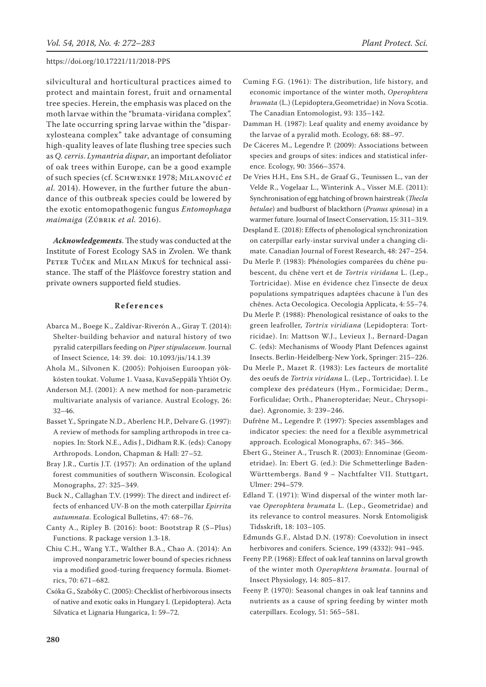silvicultural and horticultural practices aimed to protect and maintain forest, fruit and ornamental tree species. Herein, the emphasis was placed on the moth larvae within the "brumata-viridana complex". The late occurring spring larvae within the "disparxylosteana complex" take advantage of consuming high-quality leaves of late flushing tree species such as *Q. cerris*. *Lymantria dispar*, an important defoliator of oak trees within Europe, can be a good example of such species (cf. Schwenke 1978; Milanović *et al.* 2014). However, in the further future the abundance of this outbreak species could be lowered by the exotic entomopathogenic fungus *Entomophaga maimaiga* (Zúbrik *et al.* 2016).

*Acknowledgements*. The study was conducted at the Institute of Forest Ecology SAS in Zvolen. We thank PETER TUČEK and MILAN MIKUŠ for technical assistance. The staff of the Plášťovce forestry station and private owners supported field studies.

#### **References**

- Abarca M., Boege K., Zaldívar-Riverón A., Giray T. (2014): Shelter-building behavior and natural history of two pyralid caterpillars feeding on *Piper stipulaceum*. Journal of Insect Science, 14: 39. doi: 10.1093/jis/14.1.39
- Ahola M., Silvonen K. (2005): Pohjoisen Euroopan yökkösten toukat. Volume 1. Vaasa, KuvaSeppälä Yhtiöt Oy.
- Anderson M.J. (2001): A new method for non-parametric multivariate analysis of variance. Austral Ecology, 26: 32–46.
- Basset Y., Springate N.D., Aberlenc H.P., Delvare G. (1997): A review of methods for sampling arthropods in tree canopies. In: Stork N.E., Adis J., Didham R.K. (eds): Canopy Arthropods. London, Chapman & Hall: 27–52.
- Bray J.R., Curtis J.T. (1957): An ordination of the upland forest communities of southern Wisconsin. Ecological Monographs, 27: 325–349.
- Buck N., Callaghan T.V. (1999): The direct and indirect effects of enhanced UV-B on the moth caterpillar *Epirrita autumnata*. Ecological Bulletins, 47: 68–76.
- Canty A., Ripley B. (2016): boot: Bootstrap R (S–Plus) Functions. R package version 1.3-18.
- Chiu C.H., Wang Y.T., Walther B.A., Chao A. (2014): An improved nonparametric lower bound of species richness via a modified good-turing frequency formula. Biometrics, 70: 671–682.
- Csóka G., Szabóky C. (2005): Checklist of herbivorous insects of native and exotic oaks in Hungary I. (Lepidoptera). Acta Silvatica et Lignaria Hungarica, 1: 59–72.
- Cuming F.G. (1961): The distribution, life history, and economic importance of the winter moth, *Operophtera brumata* (L.) (Lepidoptera,Geometridae) in Nova Scotia. The Canadian Entomologist, 93: 135–142.
- Damman H. (1987): Leaf quality and enemy avoidance by the larvae of a pyralid moth. Ecology, 68: 88–97.
- De Cáceres M., Legendre P. (2009): Associations between species and groups of sites: indices and statistical inference. Ecology, 90: 3566–3574.
- De Vries H.H., Ens S.H., de Graaf G., Teunissen L., van der Velde R., Vogelaar L., Winterink A., Visser M.E. (2011): Synchronisation of egg hatching of brown hairstreak (*Thecla betulae*) and budburst of blackthorn (*Prunus spinosa*) in a warmer future. Journal of Insect Conservation, 15: 311–319.
- Despland E. (2018): Effects of phenological synchronization on caterpillar early-instar survival under a changing climate. Canadian Journal of Forest Research, 48: 247–254.
- Du Merle P. (1983): Phénologies comparées du chêne pubescent, du chêne vert et de *Tortrix viridana* L. (Lep., Tortricidae). Mise en évidence chez l'insecte de deux populations sympatriques adaptées chacune à l'un des chênes. Acta Oecologica. Oecologia Applicata, 4: 55–74.
- Du Merle P. (1988): Phenological resistance of oaks to the green leafroller, *Tortrix viridiana* (Lepidoptera: Tortricidae). In: Mattson W.J., Levieux J., Bernard-Dagan C. (eds): Mechanisms of Woody Plant Defences against Insects. Berlin-Heidelberg-New York, Springer: 215–226.
- Du Merle P., Mazet R. (1983): Les facteurs de mortalité des oeufs de *Tortrix viridana* L. (Lep., Tortricidae). I. Le complexe des prédateurs (Hym., Formicidae; Derm., Forficulidae; Orth., Phaneropteridae; Neur., Chrysopidae). Agronomie, 3: 239–246.
- Dufrêne M., Legendre P. (1997): Species assemblages and indicator species: the need for a flexible asymmetrical approach. Ecological Monographs, 67: 345–366.
- Ebert G., Steiner A., Trusch R. (2003): Ennominae (Geometridae). In: Ebert G. (ed.): Die Schmetterlinge Baden-Württembergs. Band 9 – Nachtfalter VII. Stuttgart, Ulmer: 294–579.
- Edland T. (1971): Wind dispersal of the winter moth larvae *Operophtera brumata* L. (Lep., Geometridae) and its relevance to control measures. Norsk Entomoligisk Tidsskrift, 18: 103–105.
- Edmunds G.F., Alstad D.N. (1978): Coevolution in insect herbivores and conifers. Science, 199 (4332): 941–945.
- Feeny P.P. (1968): Effect of oak leaf tannins on larval growth of the winter moth *Operophtera brumata*. Journal of Insect Physiology, 14: 805–817.
- Feeny P. (1970): Seasonal changes in oak leaf tannins and nutrients as a cause of spring feeding by winter moth caterpillars. Ecology, 51: 565–581.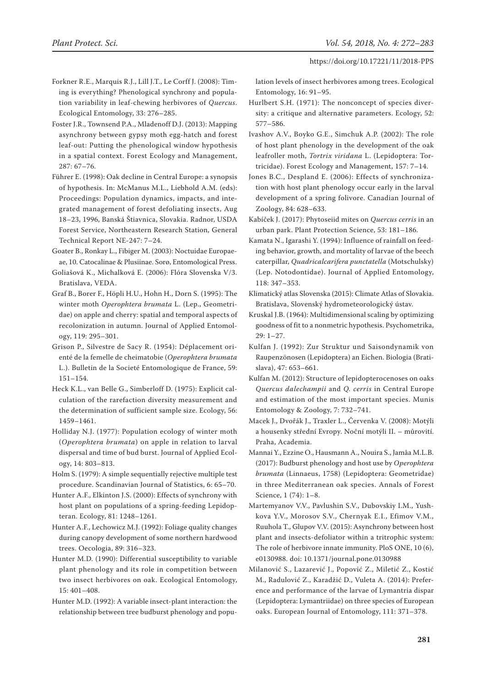- Forkner R.E., Marquis R.J., Lill J.T., Le Corff J. (2008): Timing is everything? Phenological synchrony and population variability in leaf-chewing herbivores of *Quercus*. Ecological Entomology, 33: 276–285.
- Foster J.R., Townsend P.A., Mladenoff D.J. (2013): Mapping asynchrony between gypsy moth egg-hatch and forest leaf-out: Putting the phenological window hypothesis in a spatial context. Forest Ecology and Management, 287: 67–76.
- Führer E. (1998): Oak decline in Central Europe: a synopsis of hypothesis. In: McManus M.L., Liebhold A.M. (eds): Proceedings: Population dynamics, impacts, and integrated management of forest defoliating insects, Aug 18–23, 1996, Banská Štiavnica, Slovakia. Radnor, USDA Forest Service, Northeastern Research Station, General Technical Report NE-247: 7–24.
- Goater B., Ronkay L., Fibiger M. (2003): Noctuidae Europaeae, 10. Catocalinae & Plusiinae. Sorø, Entomological Press.
- Goliašová K., Michalková E. (2006): Flóra Slovenska V/3. Bratislava, VEDA.
- Graf B., Borer F., Höpli H.U., Hohn H., Dorn S. (1995): The winter moth *Operophtera brumata* L. (Lep., Geometridae) on apple and cherry: spatial and temporal aspects of recolonization in autumn. Journal of Applied Entomology, 119: 295–301.
- Grison P., Silvestre de Sacy R. (1954): Déplacement orienté de la femelle de cheimatobie (*Operophtera brumata* L.). Bulletin de la Societé Entomologique de France, 59: 151–154.
- Heck K.L., van Belle G., Simberloff D. (1975): Explicit calculation of the rarefaction diversity measurement and the determination of sufficient sample size. Ecology, 56: 1459–1461.
- Holliday N.J. (1977): Population ecology of winter moth (*Operophtera brumata*) on apple in relation to larval dispersal and time of bud burst. Journal of Applied Ecology, 14: 803–813.
- Holm S. (1979): A simple sequentially rejective multiple test procedure. Scandinavian Journal of Statistics, 6: 65–70.
- Hunter A.F., Elkinton J.S. (2000): Effects of synchrony with host plant on populations of a spring-feeding Lepidopteran. Ecology, 81: 1248–1261.
- Hunter A.F., Lechowicz M.J. (1992): Foliage quality changes during canopy development of some northern hardwood trees. Oecologia, 89: 316–323.
- Hunter M.D. (1990): Differential susceptibility to variable plant phenology and its role in competition between two insect herbivores on oak. Ecological Entomology, 15: 401–408.
- Hunter M.D. (1992): A variable insect-plant interaction: the relationship between tree budburst phenology and popu-

lation levels of insect herbivores among trees. Ecological Entomology, 16: 91–95.

- Hurlbert S.H. (1971): The nonconcept of species diversity: a critique and alternative parameters. Ecology, 52: 577–586.
- Ivashov A.V., Boyko G.E., Simchuk A.P. (2002): The role of host plant phenology in the development of the oak leafroller moth, *Tortrix viridana* L. (Lepidoptera: Tortricidae). Forest Ecology and Management, 157: 7–14.
- Jones B.C., Despland E. (2006): Effects of synchronization with host plant phenology occur early in the larval development of a spring folivore. Canadian Journal of Zoology, 84: 628–633.
- Kabíček J. (2017): Phytoseiid mites on *Quercus cerris* in an urban park. Plant Protection Science, 53: 181–186.
- Kamata N., Igarashi Y. (1994): Influence of rainfall on feeding behavior, growth, and mortality of larvae of the beech caterpillar, *Quadricalcarifera punctatella* (Motschulsky) (Lep. Notodontidae). Journal of Applied Entomology, 118: 347–353.
- Klimatický atlas Slovenska (2015): Climate Atlas of Slovakia. Bratislava, Slovenský hydrometeorologický ústav.
- Kruskal J.B. (1964): Multidimensional scaling by optimizing goodness of fit to a nonmetric hypothesis. Psychometrika, 29: 1–27.
- Kulfan J. (1992): Zur Struktur und Saisondynamik von Raupenzönosen (Lepidoptera) an Eichen. Biologia (Bratislava), 47: 653–661.
- Kulfan M. (2012): Structure of lepidopterocenoses on oaks *Quercus dalechampii* and *Q. cerris* in Central Europe and estimation of the most important species. Munis Entomology & Zoology, 7: 732–741.
- Macek J., Dvořák J., Traxler L., Červenka V. (2008): Motýli a housenky střední Evropy. Noční motýli II. – můrovití. Praha, Academia.
- Mannai Y., Ezzine O., Hausmann A., Nouira S., Jamâa M.L.B. (2017): Budburst phenology and host use by *Operophtera brumata* (Linnaeus, 1758) (Lepidoptera: Geometridae) in three Mediterranean oak species. Annals of Forest Science, 1 (74): 1–8.
- Martemyanov V.V., Pavlushin S.V., Dubovskiy I.M., Yushkova Y.V., Morosov S.V., Chernyak E.I., Efimov V.M., Ruuhola T., Glupov V.V. (2015): Asynchrony between host plant and insects-defoliator within a tritrophic system: The role of herbivore innate immunity. PloS ONE, 10 (6), e0130988. doi: 10.1371/journal.pone.0130988
- Milanović S., Lazarević J., Popović Z., Miletić Z., Kostić M., Radulović Z., Karadžić D., Vuleta A. (2014): Preference and performance of the larvae of Lymantria dispar (Lepidoptera: Lymantriidae) on three species of European oaks. European Journal of Entomology, 111: 371–378.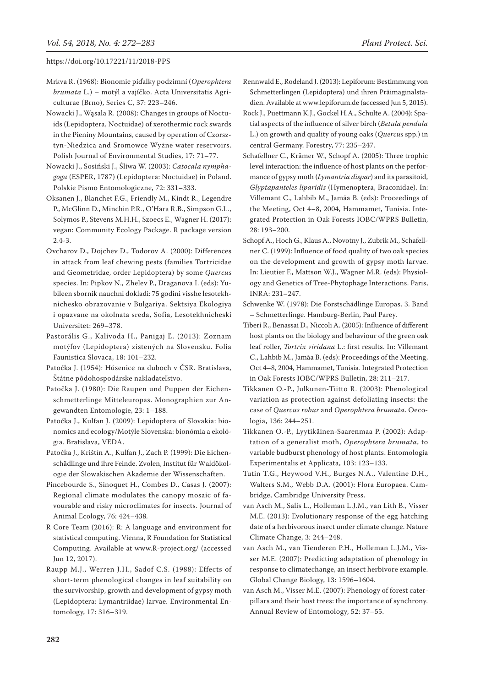- Mrkva R. (1968): Bionomie píďalky podzimní (*Operophtera brumata* L.) – motýl a vajíčko. Acta Universitatis Agriculturae (Brno), Series C, 37: 223–246.
- Nowacki J., Wąsala R. (2008): Changes in groups of Noctuids (Lepidoptera, Noctuidae) of xerothermic rock swards in the Pieniny Mountains, caused by operation of Czorsztyn-Niedzica and Sromowce Wyżne water reservoirs. Polish Journal of Environmental Studies, 17: 71–77.
- Nowacki J., Sosiński J., Śliwa W. (2003): *Catocala nymphagoga* (ESPER, 1787) (Lepidoptera: Noctuidae) in Poland. Polskie Pismo Entomologiczne, 72: 331–333.
- Oksanen J., Blanchet F.G., Friendly M., Kindt R., Legendre P., McGlinn D., Minchin P.R., O'Hara R.B., Simpson G.L., Solymos P., Stevens M.H.H., Szoecs E., Wagner H. (2017): vegan: Community Ecology Package. R package version  $24-3$
- Ovcharov D., Dojchev D., Todorov A. (2000): Differences in attack from leaf chewing pests (families Tortricidae and Geometridae, order Lepidoptera) by some *Quercus* species. In: Pipkov N., Zhelev P., Draganova I. (eds): Yubileen sbornik nauchni dokladi: 75 godini visshe lesotekhnichesko obrazovanie v Bulgariya. Sektsiya Ekologiya i opazvane na okolnata sreda, Sofia, Lesotekhnicheski Universitet: 269–378.
- Pastorális G., Kalivoda H., Panigaj Ľ. (2013): Zoznam motýľov (Lepidoptera) zistených na Slovensku. Folia Faunistica Slovaca, 18: 101–232.
- Patočka J. (1954): Húsenice na duboch v ČSR. Bratislava, Štátne pôdohospodárske nakladateľstvo.
- Patočka J. (1980): Die Raupen und Puppen der Eichenschmetterlinge Mitteleuropas. Monographien zur Angewandten Entomologie, 23: 1–188.
- Patočka J., Kulfan J. (2009): Lepidoptera of Slovakia: bionomics and ecology/Motýle Slovenska: bionómia a ekológia. Bratislava, VEDA.
- Patočka J., Krištín A., Kulfan J., Zach P. (1999): Die Eichenschädlinge und ihre Feinde. Zvolen, Institut für Waldökologie der Slowakischen Akademie der Wissenschaften.
- Pincebourde S., Sinoquet H., Combes D., Casas J. (2007): Regional climate modulates the canopy mosaic of favourable and risky microclimates for insects. Journal of Animal Ecology, 76: 424–438*.*
- R Core Team (2016): R: A language and environment for statistical computing. Vienna, R Foundation for Statistical Computing. Available at www.R-project.org/ (accessed Jun 12, 2017).
- Raupp M.J., Werren J.H., Sadof C.S. (1988): Effects of short-term phenological changes in leaf suitability on the survivorship, growth and development of gypsy moth (Lepidoptera: Lymantriidae) larvae. Environmental Entomology, 17: 316–319.
- Rennwald E., Rodeland J. (2013): Lepiforum: Bestimmung von Schmetterlingen (Lepidoptera) und ihren Präimaginalstadien. Available at www.lepiforum.de (accessed Jun 5, 2015).
- Rock J., Puettmann K.J., Gockel H.A., Schulte A. (2004): Spatial aspects of the influence of silver birch (*Betula pendula* L.) on growth and quality of young oaks (*Quercus* spp.) in central Germany. Forestry, 77: 235–247.
- Schafellner C., Krämer W., Schopf A. (2005): Three trophic level interaction: the influence of host plants on the performance of gypsy moth (*Lymantria dispar*) and its parasitoid, *Glyptapanteles liparidis* (Hymenoptera, Braconidae). In: Villemant C., Lahbib M., Jamāa B. (eds): Proceedings of the Meeting, Oct 4–8, 2004, Hammamet, Tunisia. Integrated Protection in Oak Forests IOBC/wprs Bulletin, 28: 193–200.
- Schopf A., Hoch G., Klaus A., Novotny J., Zubrik M., Schafellner C. (1999): Influence of food quality of two oak species on the development and growth of gypsy moth larvae. In: Lieutier F., Mattson W.J., Wagner M.R. (eds): Physiology and Genetics of Tree-Phytophage Interactions. Paris, INRA: 231–247.
- Schwenke W. (1978): Die Forstschädlinge Europas. 3. Band – Schmetterlinge. Hamburg-Berlin, Paul Parey.
- Tiberi R., Benassai D., Niccoli A. (2005): Influence of different host plants on the biology and behaviour of the green oak leaf roller, *Tortrix viridana* L.: first results. In: Villemant C., Lahbib M., Jamāa B. (eds): Proceedings of the Meeting, Oct 4–8, 2004, Hammamet, Tunisia. Integrated Protection in Oak Forests IOBC/wprs Bulletin, 28: 211–217.
- Tikkanen O.-P., Julkunen-Tiitto R. (2003): Phenological variation as protection against defoliating insects: the case of *Quercus robur* and *Operophtera brumata*. Oecologia, 136: 244–251.
- Tikkanen O.-P., Lyytikäinen-Saarenmaa P. (2002): Adaptation of a generalist moth, *Operophtera brumata*, to variable budburst phenology of host plants. Entomologia Experimentalis et Applicata, 103: 123–133.
- Tutin T.G., Heywood V.H., Burges N.A., Valentine D.H., Walters S.M., Webb D.A. (2001): Flora Europaea. Cambridge, Cambridge University Press.
- van Asch M., Salis L., Holleman L.J.M., van Lith B., Visser M.E. (2013): Evolutionary response of the egg hatching date of a herbivorous insect under climate change. Nature Climate Change, 3: 244–248.
- van Asch M., van Tienderen P.H., Holleman L.J.M., Visser M.E. (2007): Predicting adaptation of phenology in response to climatechange, an insect herbivore example. Global Change Biology, 13: 1596–1604.
- van Asch M., Visser M.E. (2007): Phenology of forest caterpillars and their host trees: the importance of synchrony. Annual Review of Entomology, 52: 37–55.